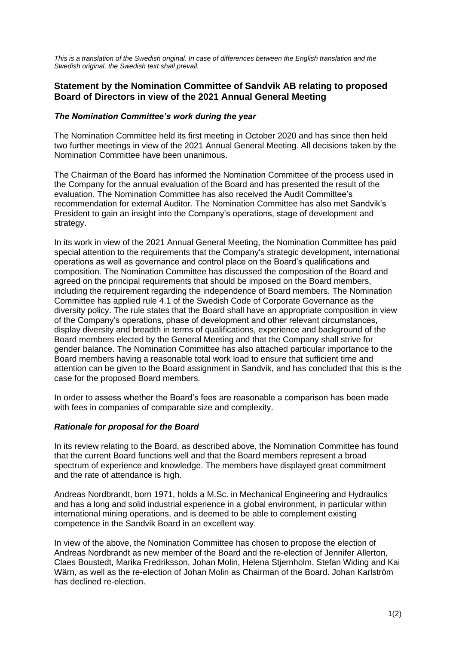*This is a translation of the Swedish original. In case of differences between the English translation and the Swedish original, the Swedish text shall prevail.*

## **Statement by the Nomination Committee of Sandvik AB relating to proposed Board of Directors in view of the 2021 Annual General Meeting**

## *The Nomination Committee's work during the year*

The Nomination Committee held its first meeting in October 2020 and has since then held two further meetings in view of the 2021 Annual General Meeting. All decisions taken by the Nomination Committee have been unanimous.

The Chairman of the Board has informed the Nomination Committee of the process used in the Company for the annual evaluation of the Board and has presented the result of the evaluation. The Nomination Committee has also received the Audit Committee's recommendation for external Auditor. The Nomination Committee has also met Sandvik's President to gain an insight into the Company's operations, stage of development and strategy.

In its work in view of the 2021 Annual General Meeting, the Nomination Committee has paid special attention to the requirements that the Company's strategic development, international operations as well as governance and control place on the Board's qualifications and composition. The Nomination Committee has discussed the composition of the Board and agreed on the principal requirements that should be imposed on the Board members, including the requirement regarding the independence of Board members. The Nomination Committee has applied rule 4.1 of the Swedish Code of Corporate Governance as the diversity policy. The rule states that the Board shall have an appropriate composition in view of the Company's operations, phase of development and other relevant circumstances, display diversity and breadth in terms of qualifications, experience and background of the Board members elected by the General Meeting and that the Company shall strive for gender balance. The Nomination Committee has also attached particular importance to the Board members having a reasonable total work load to ensure that sufficient time and attention can be given to the Board assignment in Sandvik, and has concluded that this is the case for the proposed Board members.

In order to assess whether the Board's fees are reasonable a comparison has been made with fees in companies of comparable size and complexity.

## *Rationale for proposal for the Board*

In its review relating to the Board, as described above, the Nomination Committee has found that the current Board functions well and that the Board members represent a broad spectrum of experience and knowledge. The members have displayed great commitment and the rate of attendance is high.

Andreas Nordbrandt, born 1971, holds a M.Sc. in Mechanical Engineering and Hydraulics and has a long and solid industrial experience in a global environment, in particular within international mining operations, and is deemed to be able to complement existing competence in the Sandvik Board in an excellent way.

In view of the above, the Nomination Committee has chosen to propose the election of Andreas Nordbrandt as new member of the Board and the re-election of Jennifer Allerton, Claes Boustedt, Marika Fredriksson, Johan Molin, Helena Stjernholm, Stefan Widing and Kai Wärn, as well as the re-election of Johan Molin as Chairman of the Board. Johan Karlström has declined re-election.